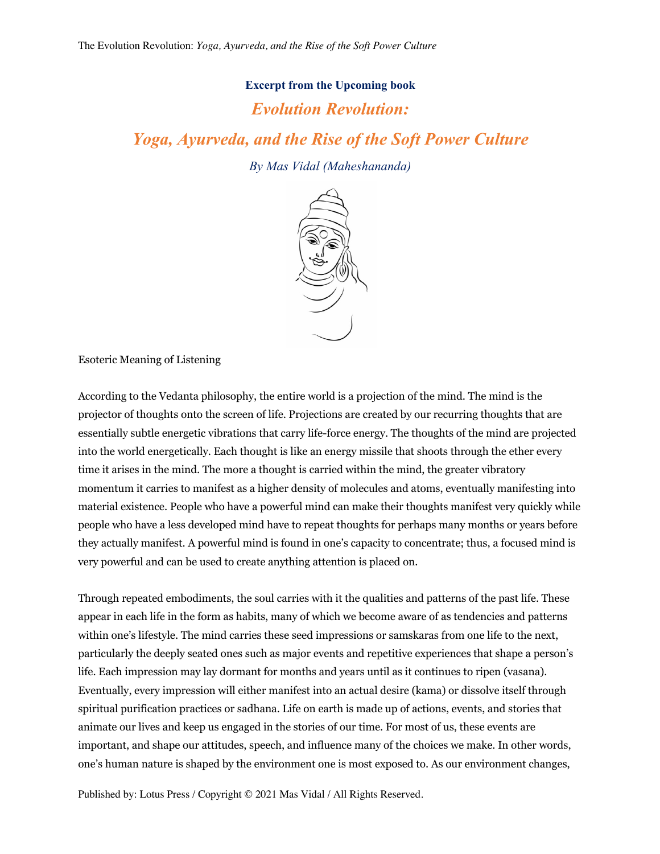## **Excerpt from the Upcoming book**

## *Evolution Revolution:*

*Yoga, Ayurveda, and the Rise of the Soft Power Culture*

*By Mas Vidal (Maheshananda)*



Esoteric Meaning of Listening

According to the Vedanta philosophy, the entire world is a projection of the mind. The mind is the projector of thoughts onto the screen of life. Projections are created by our recurring thoughts that are essentially subtle energetic vibrations that carry life-force energy. The thoughts of the mind are projected into the world energetically. Each thought is like an energy missile that shoots through the ether every time it arises in the mind. The more a thought is carried within the mind, the greater vibratory momentum it carries to manifest as a higher density of molecules and atoms, eventually manifesting into material existence. People who have a powerful mind can make their thoughts manifest very quickly while people who have a less developed mind have to repeat thoughts for perhaps many months or years before they actually manifest. A powerful mind is found in one's capacity to concentrate; thus, a focused mind is very powerful and can be used to create anything attention is placed on.

Through repeated embodiments, the soul carries with it the qualities and patterns of the past life. These appear in each life in the form as habits, many of which we become aware of as tendencies and patterns within one's lifestyle. The mind carries these seed impressions or samskaras from one life to the next, particularly the deeply seated ones such as major events and repetitive experiences that shape a person's life. Each impression may lay dormant for months and years until as it continues to ripen (vasana). Eventually, every impression will either manifest into an actual desire (kama) or dissolve itself through spiritual purification practices or sadhana. Life on earth is made up of actions, events, and stories that animate our lives and keep us engaged in the stories of our time. For most of us, these events are important, and shape our attitudes, speech, and influence many of the choices we make. In other words, one's human nature is shaped by the environment one is most exposed to. As our environment changes,

Published by: Lotus Press / Copyright © 2021 Mas Vidal / All Rights Reserved.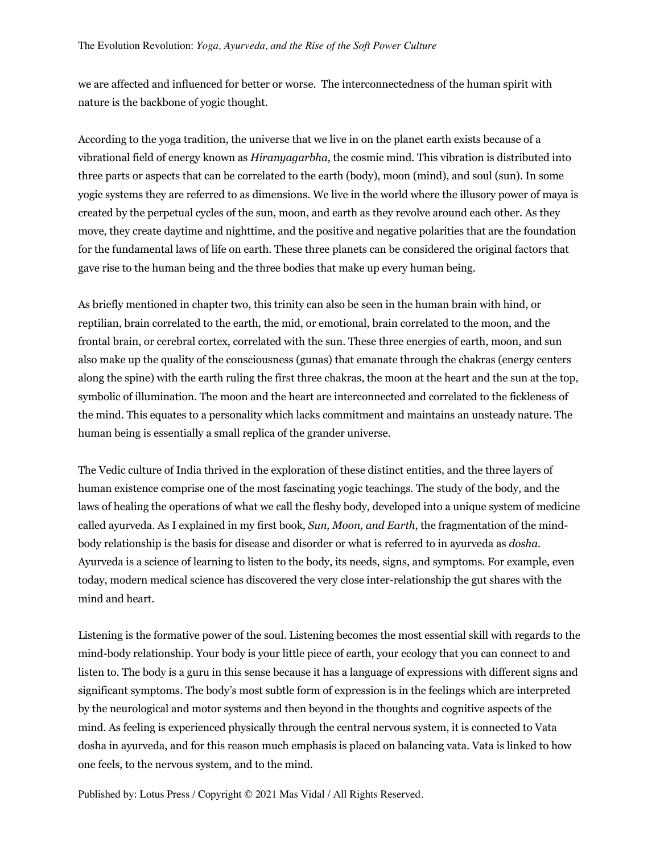we are affected and influenced for better or worse. The interconnectedness of the human spirit with nature is the backbone of yogic thought.

According to the yoga tradition, the universe that we live in on the planet earth exists because of a vibrational field of energy known as *Hiranyagarbha*, the cosmic mind. This vibration is distributed into three parts or aspects that can be correlated to the earth (body), moon (mind), and soul (sun). In some yogic systems they are referred to as dimensions. We live in the world where the illusory power of maya is created by the perpetual cycles of the sun, moon, and earth as they revolve around each other. As they move, they create daytime and nighttime, and the positive and negative polarities that are the foundation for the fundamental laws of life on earth. These three planets can be considered the original factors that gave rise to the human being and the three bodies that make up every human being.

As briefly mentioned in chapter two, this trinity can also be seen in the human brain with hind, or reptilian, brain correlated to the earth, the mid, or emotional, brain correlated to the moon, and the frontal brain, or cerebral cortex, correlated with the sun. These three energies of earth, moon, and sun also make up the quality of the consciousness (gunas) that emanate through the chakras (energy centers along the spine) with the earth ruling the first three chakras, the moon at the heart and the sun at the top, symbolic of illumination. The moon and the heart are interconnected and correlated to the fickleness of the mind. This equates to a personality which lacks commitment and maintains an unsteady nature. The human being is essentially a small replica of the grander universe.

The Vedic culture of India thrived in the exploration of these distinct entities, and the three layers of human existence comprise one of the most fascinating yogic teachings. The study of the body, and the laws of healing the operations of what we call the fleshy body, developed into a unique system of medicine called ayurveda. As I explained in my first book, *Sun, Moon, and Earth*, the fragmentation of the mindbody relationship is the basis for disease and disorder or what is referred to in ayurveda as *dosha*. Ayurveda is a science of learning to listen to the body, its needs, signs, and symptoms. For example, even today, modern medical science has discovered the very close inter-relationship the gut shares with the mind and heart.

Listening is the formative power of the soul. Listening becomes the most essential skill with regards to the mind-body relationship. Your body is your little piece of earth, your ecology that you can connect to and listen to. The body is a guru in this sense because it has a language of expressions with different signs and significant symptoms. The body's most subtle form of expression is in the feelings which are interpreted by the neurological and motor systems and then beyond in the thoughts and cognitive aspects of the mind. As feeling is experienced physically through the central nervous system, it is connected to Vata dosha in ayurveda, and for this reason much emphasis is placed on balancing vata. Vata is linked to how one feels, to the nervous system, and to the mind.

Published by: Lotus Press / Copyright © 2021 Mas Vidal / All Rights Reserved.